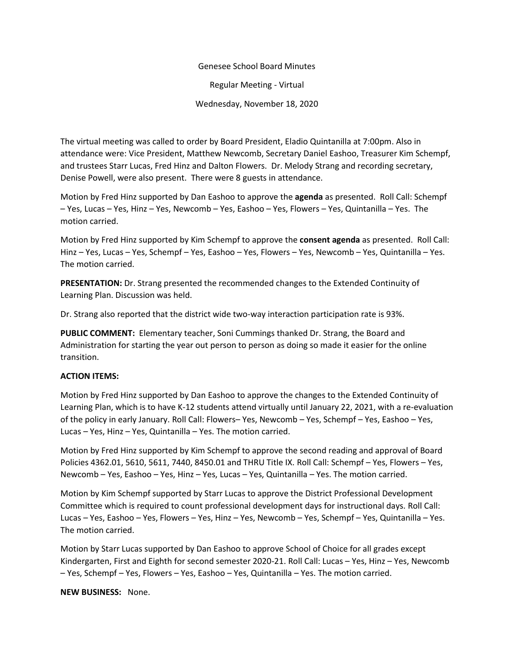## Genesee School Board Minutes

Regular Meeting - Virtual

Wednesday, November 18, 2020

The virtual meeting was called to order by Board President, Eladio Quintanilla at 7:00pm. Also in attendance were: Vice President, Matthew Newcomb, Secretary Daniel Eashoo, Treasurer Kim Schempf, and trustees Starr Lucas, Fred Hinz and Dalton Flowers. Dr. Melody Strang and recording secretary, Denise Powell, were also present. There were 8 guests in attendance.

Motion by Fred Hinz supported by Dan Eashoo to approve the **agenda** as presented. Roll Call: Schempf – Yes, Lucas – Yes, Hinz – Yes, Newcomb – Yes, Eashoo – Yes, Flowers – Yes, Quintanilla – Yes. The motion carried.

Motion by Fred Hinz supported by Kim Schempf to approve the **consent agenda** as presented. Roll Call: Hinz – Yes, Lucas – Yes, Schempf – Yes, Eashoo – Yes, Flowers – Yes, Newcomb – Yes, Quintanilla – Yes. The motion carried.

**PRESENTATION:** Dr. Strang presented the recommended changes to the Extended Continuity of Learning Plan. Discussion was held.

Dr. Strang also reported that the district wide two-way interaction participation rate is 93%.

**PUBLIC COMMENT:** Elementary teacher, Soni Cummings thanked Dr. Strang, the Board and Administration for starting the year out person to person as doing so made it easier for the online transition.

## **ACTION ITEMS:**

Motion by Fred Hinz supported by Dan Eashoo to approve the changes to the Extended Continuity of Learning Plan, which is to have K-12 students attend virtually until January 22, 2021, with a re-evaluation of the policy in early January. Roll Call: Flowers– Yes, Newcomb – Yes, Schempf – Yes, Eashoo – Yes, Lucas – Yes, Hinz – Yes, Quintanilla – Yes. The motion carried.

Motion by Fred Hinz supported by Kim Schempf to approve the second reading and approval of Board Policies 4362.01, 5610, 5611, 7440, 8450.01 and THRU Title IX. Roll Call: Schempf – Yes, Flowers – Yes, Newcomb – Yes, Eashoo – Yes, Hinz – Yes, Lucas – Yes, Quintanilla – Yes. The motion carried.

Motion by Kim Schempf supported by Starr Lucas to approve the District Professional Development Committee which is required to count professional development days for instructional days. Roll Call: Lucas – Yes, Eashoo – Yes, Flowers – Yes, Hinz – Yes, Newcomb – Yes, Schempf – Yes, Quintanilla – Yes. The motion carried.

Motion by Starr Lucas supported by Dan Eashoo to approve School of Choice for all grades except Kindergarten, First and Eighth for second semester 2020-21. Roll Call: Lucas – Yes, Hinz – Yes, Newcomb – Yes, Schempf – Yes, Flowers – Yes, Eashoo – Yes, Quintanilla – Yes. The motion carried.

**NEW BUSINESS:** None.